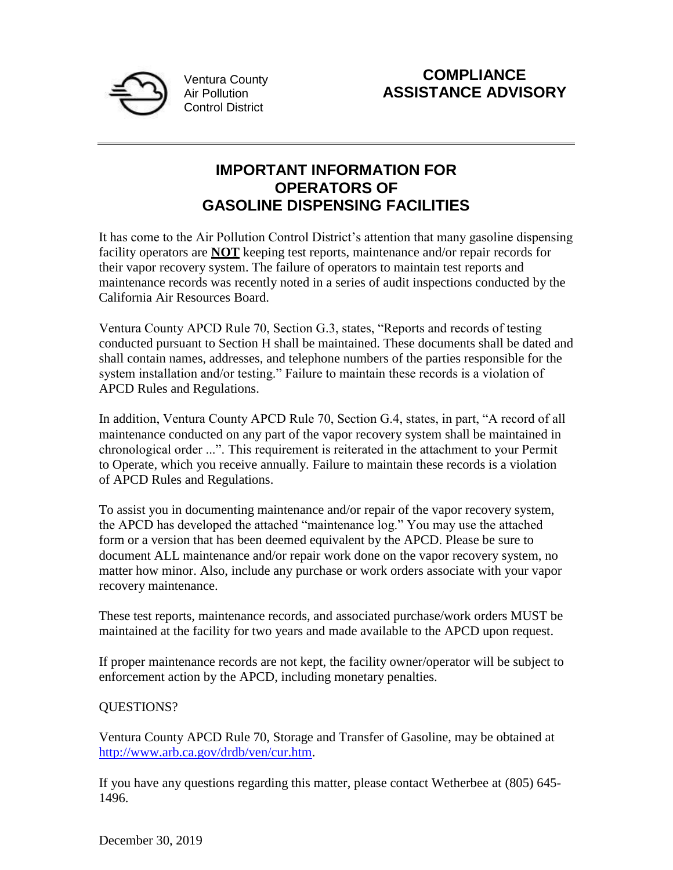

**COMPLIANCE ASSISTANCE ADVISORY**

## **IMPORTANT INFORMATION FOR OPERATORS OF GASOLINE DISPENSING FACILITIES**

It has come to the Air Pollution Control District's attention that many gasoline dispensing facility operators are **NOT** keeping test reports, maintenance and/or repair records for their vapor recovery system. The failure of operators to maintain test reports and maintenance records was recently noted in a series of audit inspections conducted by the California Air Resources Board.

Ventura County APCD Rule 70, Section G.3, states, "Reports and records of testing conducted pursuant to Section H shall be maintained. These documents shall be dated and shall contain names, addresses, and telephone numbers of the parties responsible for the system installation and/or testing." Failure to maintain these records is a violation of APCD Rules and Regulations.

In addition, Ventura County APCD Rule 70, Section G.4, states, in part, "A record of all maintenance conducted on any part of the vapor recovery system shall be maintained in chronological order ...". This requirement is reiterated in the attachment to your Permit to Operate, which you receive annually. Failure to maintain these records is a violation of APCD Rules and Regulations.

To assist you in documenting maintenance and/or repair of the vapor recovery system, the APCD has developed the attached "maintenance log." You may use the attached form or a version that has been deemed equivalent by the APCD. Please be sure to document ALL maintenance and/or repair work done on the vapor recovery system, no matter how minor. Also, include any purchase or work orders associate with your vapor recovery maintenance.

These test reports, maintenance records, and associated purchase/work orders MUST be maintained at the facility for two years and made available to the APCD upon request.

If proper maintenance records are not kept, the facility owner/operator will be subject to enforcement action by the APCD, including monetary penalties.

## QUESTIONS?

Ventura County APCD Rule 70, Storage and Transfer of Gasoline, may be obtained at [http://www.arb.ca.gov/drdb/ven/cur.htm.](http://www.arb.ca.gov/drdb/ven/cur.htm)

If you have any questions regarding this matter, please contact Wetherbee at (805) 645- 1496.

December 30, 2019